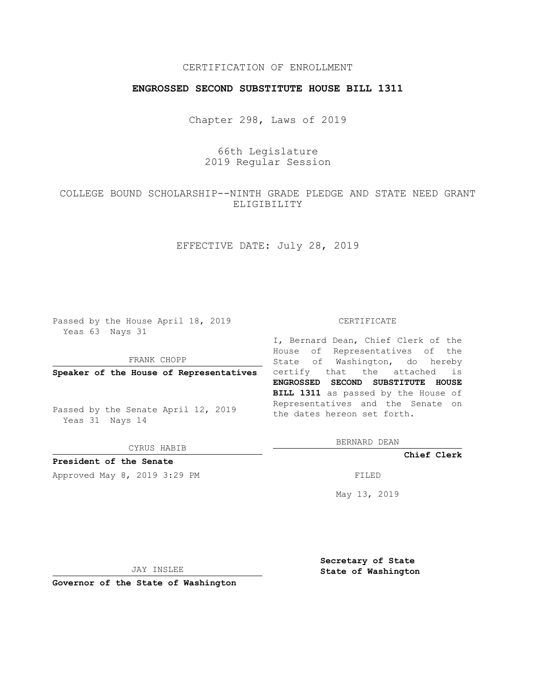# CERTIFICATION OF ENROLLMENT

## **ENGROSSED SECOND SUBSTITUTE HOUSE BILL 1311**

Chapter 298, Laws of 2019

# 66th Legislature 2019 Regular Session

# COLLEGE BOUND SCHOLARSHIP--NINTH GRADE PLEDGE AND STATE NEED GRANT ELIGIBILITY

## EFFECTIVE DATE: July 28, 2019

Passed by the House April 18, 2019 Yeas 63 Nays 31

FRANK CHOPP

Passed by the Senate April 12, 2019 Yeas 31 Nays 14

CYRUS HABIB

## **President of the Senate**

Approved May 8, 2019 3:29 PM

#### CERTIFICATE

**Speaker of the House of Representatives** certify that the attached is I, Bernard Dean, Chief Clerk of the House of Representatives of the State of Washington, do hereby **ENGROSSED SECOND SUBSTITUTE HOUSE BILL 1311** as passed by the House of Representatives and the Senate on the dates hereon set forth.

BERNARD DEAN

**Chief Clerk**

May 13, 2019

JAY INSLEE

**Governor of the State of Washington**

**Secretary of State State of Washington**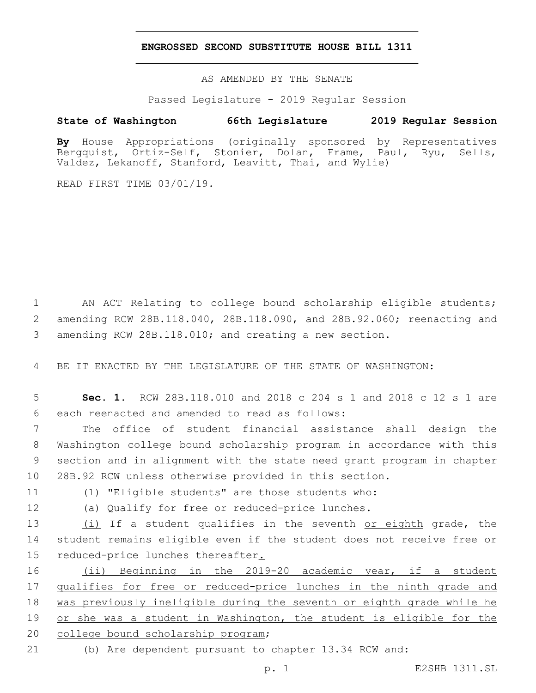## **ENGROSSED SECOND SUBSTITUTE HOUSE BILL 1311**

AS AMENDED BY THE SENATE

Passed Legislature - 2019 Regular Session

# **State of Washington 66th Legislature 2019 Regular Session**

**By** House Appropriations (originally sponsored by Representatives Bergquist, Ortiz-Self, Stonier, Dolan, Frame, Paul, Ryu, Sells, Valdez, Lekanoff, Stanford, Leavitt, Thai, and Wylie)

READ FIRST TIME 03/01/19.

1 AN ACT Relating to college bound scholarship eligible students; 2 amending RCW 28B.118.040, 28B.118.090, and 28B.92.060; reenacting and 3 amending RCW 28B.118.010; and creating a new section.

4 BE IT ENACTED BY THE LEGISLATURE OF THE STATE OF WASHINGTON:

5 **Sec. 1.** RCW 28B.118.010 and 2018 c 204 s 1 and 2018 c 12 s 1 are 6 each reenacted and amended to read as follows:

 The office of student financial assistance shall design the Washington college bound scholarship program in accordance with this section and in alignment with the state need grant program in chapter 28B.92 RCW unless otherwise provided in this section.

11 (1) "Eligible students" are those students who:

12 (a) Qualify for free or reduced-price lunches.

13 (i) If a student qualifies in the seventh or eighth grade, the 14 student remains eligible even if the student does not receive free or 15 reduced-price lunches thereafter.

16 (ii) Beginning in the 2019-20 academic year, if a student 17 qualifies for free or reduced-price lunches in the ninth grade and 18 was previously ineligible during the seventh or eighth grade while he 19 or she was a student in Washington, the student is eligible for the 20 college bound scholarship program;

21 (b) Are dependent pursuant to chapter 13.34 RCW and: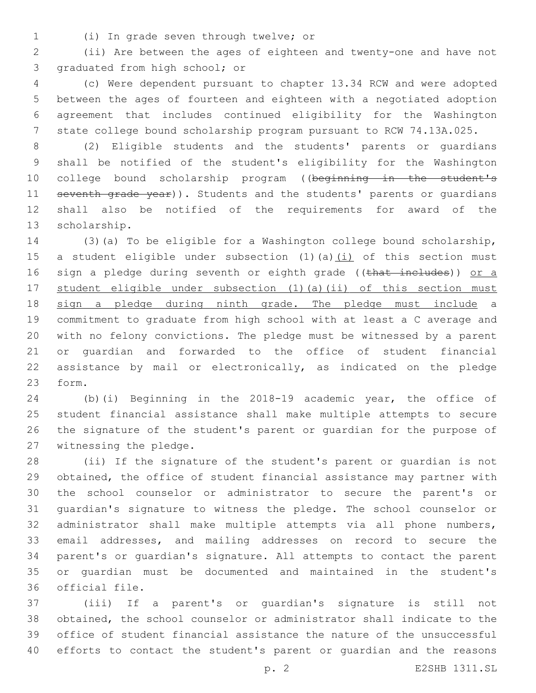(i) In grade seven through twelve; or1

 (ii) Are between the ages of eighteen and twenty-one and have not 3 graduated from high school; or

 (c) Were dependent pursuant to chapter 13.34 RCW and were adopted between the ages of fourteen and eighteen with a negotiated adoption agreement that includes continued eligibility for the Washington state college bound scholarship program pursuant to RCW 74.13A.025.

 (2) Eligible students and the students' parents or guardians shall be notified of the student's eligibility for the Washington 10 college bound scholarship program ((beginning in the student's 11 seventh grade year)). Students and the students' parents or quardians shall also be notified of the requirements for award of the 13 scholarship.

 (3)(a) To be eligible for a Washington college bound scholarship, 15 a student eligible under subsection  $(1)$   $(a)$   $(i)$  of this section must 16 sign a pledge during seventh or eighth grade ((that includes)) or a student eligible under subsection (1)(a)(ii) of this section must sign a pledge during ninth grade. The pledge must include a commitment to graduate from high school with at least a C average and with no felony convictions. The pledge must be witnessed by a parent or guardian and forwarded to the office of student financial assistance by mail or electronically, as indicated on the pledge 23 form.

 (b)(i) Beginning in the 2018-19 academic year, the office of student financial assistance shall make multiple attempts to secure the signature of the student's parent or guardian for the purpose of 27 witnessing the pledge.

 (ii) If the signature of the student's parent or guardian is not obtained, the office of student financial assistance may partner with the school counselor or administrator to secure the parent's or guardian's signature to witness the pledge. The school counselor or administrator shall make multiple attempts via all phone numbers, email addresses, and mailing addresses on record to secure the parent's or guardian's signature. All attempts to contact the parent or guardian must be documented and maintained in the student's 36 official file.

 (iii) If a parent's or guardian's signature is still not obtained, the school counselor or administrator shall indicate to the office of student financial assistance the nature of the unsuccessful efforts to contact the student's parent or guardian and the reasons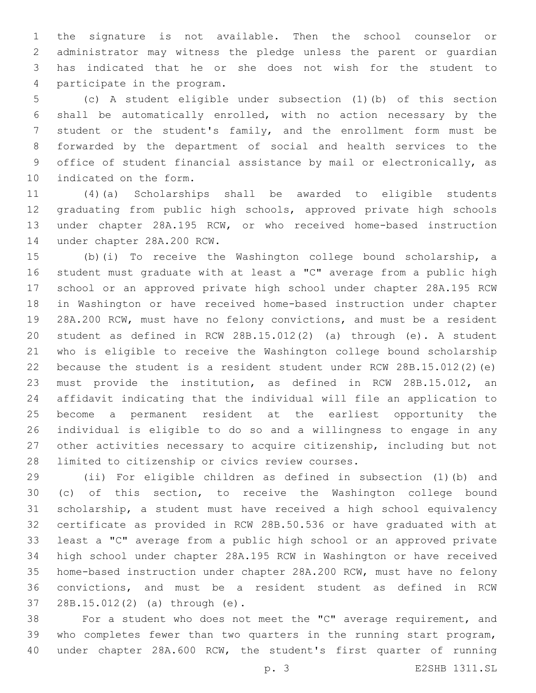the signature is not available. Then the school counselor or administrator may witness the pledge unless the parent or guardian has indicated that he or she does not wish for the student to 4 participate in the program.

 (c) A student eligible under subsection (1)(b) of this section shall be automatically enrolled, with no action necessary by the student or the student's family, and the enrollment form must be forwarded by the department of social and health services to the office of student financial assistance by mail or electronically, as 10 indicated on the form.

 (4)(a) Scholarships shall be awarded to eligible students graduating from public high schools, approved private high schools under chapter 28A.195 RCW, or who received home-based instruction 14 under chapter 28A.200 RCW.

 (b)(i) To receive the Washington college bound scholarship, a student must graduate with at least a "C" average from a public high school or an approved private high school under chapter 28A.195 RCW in Washington or have received home-based instruction under chapter 28A.200 RCW, must have no felony convictions, and must be a resident student as defined in RCW 28B.15.012(2) (a) through (e). A student who is eligible to receive the Washington college bound scholarship because the student is a resident student under RCW 28B.15.012(2)(e) must provide the institution, as defined in RCW 28B.15.012, an affidavit indicating that the individual will file an application to become a permanent resident at the earliest opportunity the individual is eligible to do so and a willingness to engage in any other activities necessary to acquire citizenship, including but not 28 limited to citizenship or civics review courses.

 (ii) For eligible children as defined in subsection (1)(b) and (c) of this section, to receive the Washington college bound scholarship, a student must have received a high school equivalency certificate as provided in RCW 28B.50.536 or have graduated with at least a "C" average from a public high school or an approved private high school under chapter 28A.195 RCW in Washington or have received home-based instruction under chapter 28A.200 RCW, must have no felony convictions, and must be a resident student as defined in RCW 28B.15.012(2) (a) through (e).37

 For a student who does not meet the "C" average requirement, and who completes fewer than two quarters in the running start program, under chapter 28A.600 RCW, the student's first quarter of running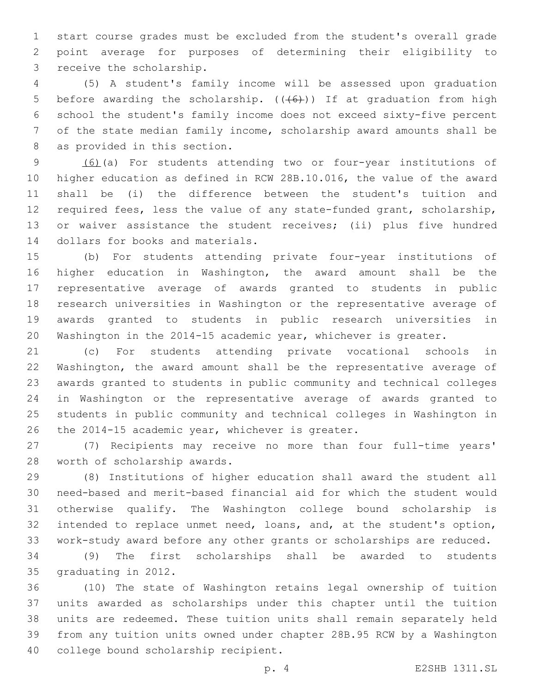start course grades must be excluded from the student's overall grade point average for purposes of determining their eligibility to 3 receive the scholarship.

 (5) A student's family income will be assessed upon graduation 5 before awarding the scholarship.  $((+6+))$  If at graduation from high school the student's family income does not exceed sixty-five percent of the state median family income, scholarship award amounts shall be 8 as provided in this section.

 (6)(a) For students attending two or four-year institutions of higher education as defined in RCW 28B.10.016, the value of the award shall be (i) the difference between the student's tuition and required fees, less the value of any state-funded grant, scholarship, or waiver assistance the student receives; (ii) plus five hundred 14 dollars for books and materials.

 (b) For students attending private four-year institutions of higher education in Washington, the award amount shall be the representative average of awards granted to students in public research universities in Washington or the representative average of awards granted to students in public research universities in Washington in the 2014-15 academic year, whichever is greater.

 (c) For students attending private vocational schools in Washington, the award amount shall be the representative average of awards granted to students in public community and technical colleges in Washington or the representative average of awards granted to students in public community and technical colleges in Washington in 26 the 2014-15 academic year, whichever is greater.

 (7) Recipients may receive no more than four full-time years' 28 worth of scholarship awards.

 (8) Institutions of higher education shall award the student all need-based and merit-based financial aid for which the student would otherwise qualify. The Washington college bound scholarship is intended to replace unmet need, loans, and, at the student's option, work-study award before any other grants or scholarships are reduced.

 (9) The first scholarships shall be awarded to students 35 graduating in 2012.

 (10) The state of Washington retains legal ownership of tuition units awarded as scholarships under this chapter until the tuition units are redeemed. These tuition units shall remain separately held from any tuition units owned under chapter 28B.95 RCW by a Washington 40 college bound scholarship recipient.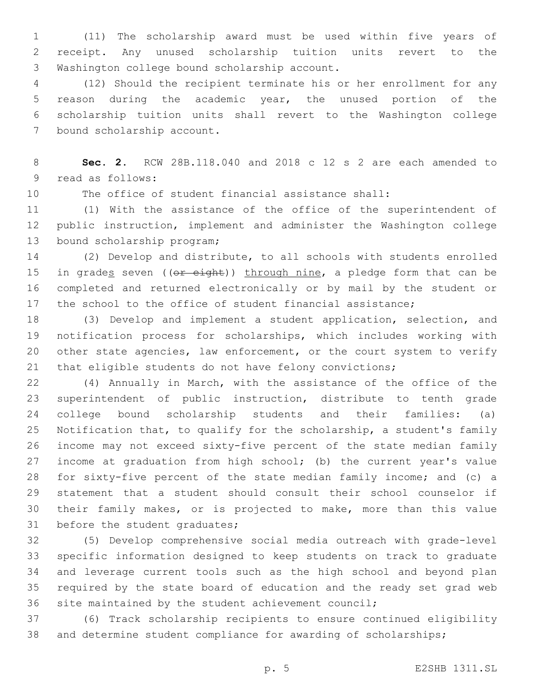(11) The scholarship award must be used within five years of receipt. Any unused scholarship tuition units revert to the 3 Washington college bound scholarship account.

 (12) Should the recipient terminate his or her enrollment for any reason during the academic year, the unused portion of the scholarship tuition units shall revert to the Washington college 7 bound scholarship account.

 **Sec. 2.** RCW 28B.118.040 and 2018 c 12 s 2 are each amended to 9 read as follows:

The office of student financial assistance shall:

 (1) With the assistance of the office of the superintendent of public instruction, implement and administer the Washington college 13 bound scholarship program;

 (2) Develop and distribute, to all schools with students enrolled 15 in grades seven ((or eight)) through nine, a pledge form that can be completed and returned electronically or by mail by the student or 17 the school to the office of student financial assistance;

 (3) Develop and implement a student application, selection, and notification process for scholarships, which includes working with 20 other state agencies, law enforcement, or the court system to verify that eligible students do not have felony convictions;

 (4) Annually in March, with the assistance of the office of the superintendent of public instruction, distribute to tenth grade college bound scholarship students and their families: (a) Notification that, to qualify for the scholarship, a student's family income may not exceed sixty-five percent of the state median family income at graduation from high school; (b) the current year's value for sixty-five percent of the state median family income; and (c) a statement that a student should consult their school counselor if their family makes, or is projected to make, more than this value 31 before the student graduates;

 (5) Develop comprehensive social media outreach with grade-level specific information designed to keep students on track to graduate and leverage current tools such as the high school and beyond plan required by the state board of education and the ready set grad web site maintained by the student achievement council;

 (6) Track scholarship recipients to ensure continued eligibility and determine student compliance for awarding of scholarships;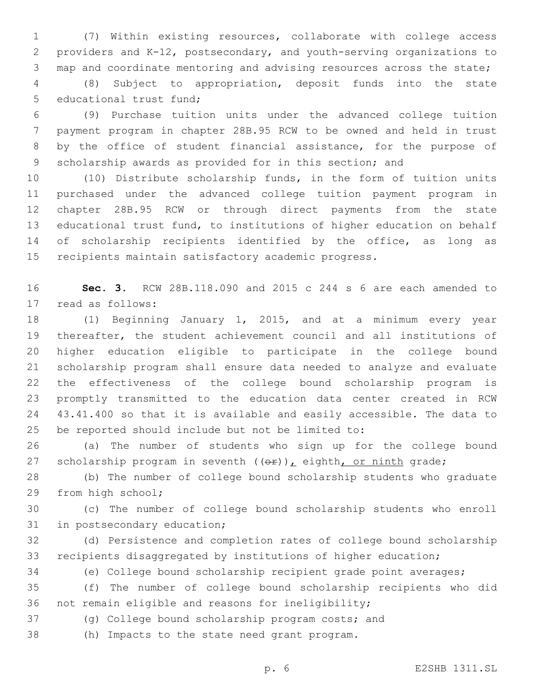(7) Within existing resources, collaborate with college access providers and K-12, postsecondary, and youth-serving organizations to map and coordinate mentoring and advising resources across the state;

 (8) Subject to appropriation, deposit funds into the state 5 educational trust fund;

 (9) Purchase tuition units under the advanced college tuition payment program in chapter 28B.95 RCW to be owned and held in trust by the office of student financial assistance, for the purpose of scholarship awards as provided for in this section; and

 (10) Distribute scholarship funds, in the form of tuition units purchased under the advanced college tuition payment program in chapter 28B.95 RCW or through direct payments from the state educational trust fund, to institutions of higher education on behalf 14 of scholarship recipients identified by the office, as long as recipients maintain satisfactory academic progress.

 **Sec. 3.** RCW 28B.118.090 and 2015 c 244 s 6 are each amended to 17 read as follows:

 (1) Beginning January 1, 2015, and at a minimum every year thereafter, the student achievement council and all institutions of higher education eligible to participate in the college bound scholarship program shall ensure data needed to analyze and evaluate the effectiveness of the college bound scholarship program is promptly transmitted to the education data center created in RCW 43.41.400 so that it is available and easily accessible. The data to 25 be reported should include but not be limited to:

 (a) The number of students who sign up for the college bound 27 scholarship program in seventh  $((\theta \hat{r}))_L$  eighth, or ninth grade;

 (b) The number of college bound scholarship students who graduate 29 from high school;

 (c) The number of college bound scholarship students who enroll 31 in postsecondary education;

 (d) Persistence and completion rates of college bound scholarship recipients disaggregated by institutions of higher education;

(e) College bound scholarship recipient grade point averages;

 (f) The number of college bound scholarship recipients who did not remain eligible and reasons for ineligibility;

(g) College bound scholarship program costs; and

(h) Impacts to the state need grant program.38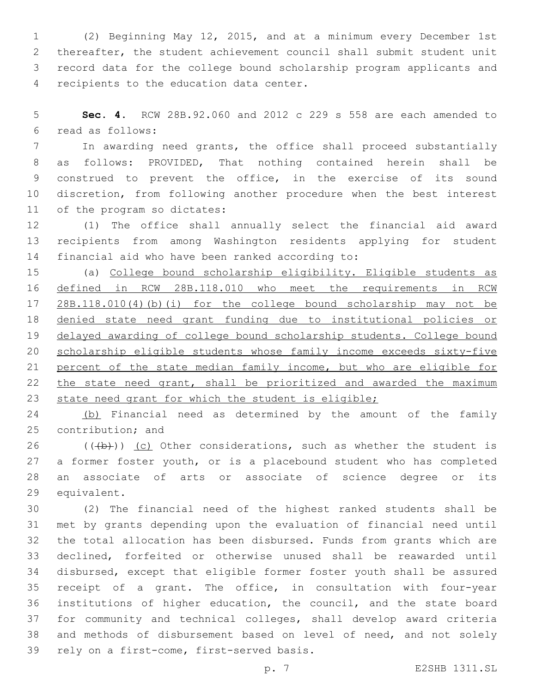(2) Beginning May 12, 2015, and at a minimum every December 1st thereafter, the student achievement council shall submit student unit record data for the college bound scholarship program applicants and 4 recipients to the education data center.

 **Sec. 4.** RCW 28B.92.060 and 2012 c 229 s 558 are each amended to read as follows:6

 In awarding need grants, the office shall proceed substantially as follows: PROVIDED, That nothing contained herein shall be construed to prevent the office, in the exercise of its sound discretion, from following another procedure when the best interest 11 of the program so dictates:

 (1) The office shall annually select the financial aid award recipients from among Washington residents applying for student 14 financial aid who have been ranked according to:

 (a) College bound scholarship eligibility. Eligible students as defined in RCW 28B.118.010 who meet the requirements in RCW 28B.118.010(4)(b)(i) for the college bound scholarship may not be denied state need grant funding due to institutional policies or delayed awarding of college bound scholarship students. College bound scholarship eligible students whose family income exceeds sixty-five percent of the state median family income, but who are eligible for the state need grant, shall be prioritized and awarded the maximum 23 state need grant for which the student is eligible;

24 (b) Financial need as determined by the amount of the family 25 contribution; and

 $((+b))$  (c) Other considerations, such as whether the student is a former foster youth, or is a placebound student who has completed an associate of arts or associate of science degree or its 29 equivalent.

 (2) The financial need of the highest ranked students shall be met by grants depending upon the evaluation of financial need until the total allocation has been disbursed. Funds from grants which are declined, forfeited or otherwise unused shall be reawarded until disbursed, except that eligible former foster youth shall be assured receipt of a grant. The office, in consultation with four-year institutions of higher education, the council, and the state board for community and technical colleges, shall develop award criteria and methods of disbursement based on level of need, and not solely 39 rely on a first-come, first-served basis.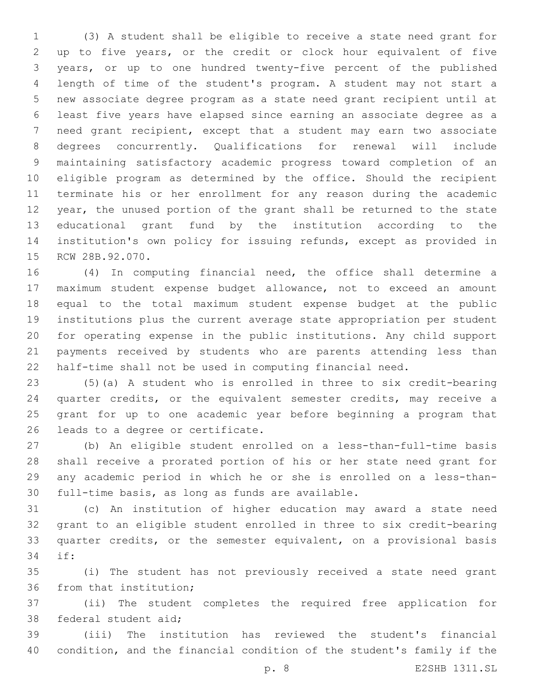(3) A student shall be eligible to receive a state need grant for up to five years, or the credit or clock hour equivalent of five years, or up to one hundred twenty-five percent of the published length of time of the student's program. A student may not start a new associate degree program as a state need grant recipient until at least five years have elapsed since earning an associate degree as a need grant recipient, except that a student may earn two associate degrees concurrently. Qualifications for renewal will include maintaining satisfactory academic progress toward completion of an eligible program as determined by the office. Should the recipient terminate his or her enrollment for any reason during the academic year, the unused portion of the grant shall be returned to the state educational grant fund by the institution according to the institution's own policy for issuing refunds, except as provided in 15 RCW 28B.92.070.

 (4) In computing financial need, the office shall determine a maximum student expense budget allowance, not to exceed an amount equal to the total maximum student expense budget at the public institutions plus the current average state appropriation per student for operating expense in the public institutions. Any child support payments received by students who are parents attending less than half-time shall not be used in computing financial need.

 (5)(a) A student who is enrolled in three to six credit-bearing quarter credits, or the equivalent semester credits, may receive a grant for up to one academic year before beginning a program that 26 leads to a degree or certificate.

 (b) An eligible student enrolled on a less-than-full-time basis shall receive a prorated portion of his or her state need grant for any academic period in which he or she is enrolled on a less-than-30 full-time basis, as long as funds are available.

 (c) An institution of higher education may award a state need grant to an eligible student enrolled in three to six credit-bearing quarter credits, or the semester equivalent, on a provisional basis if:34

 (i) The student has not previously received a state need grant 36 from that institution;

 (ii) The student completes the required free application for 38 federal student aid;

 (iii) The institution has reviewed the student's financial condition, and the financial condition of the student's family if the

p. 8 E2SHB 1311.SL